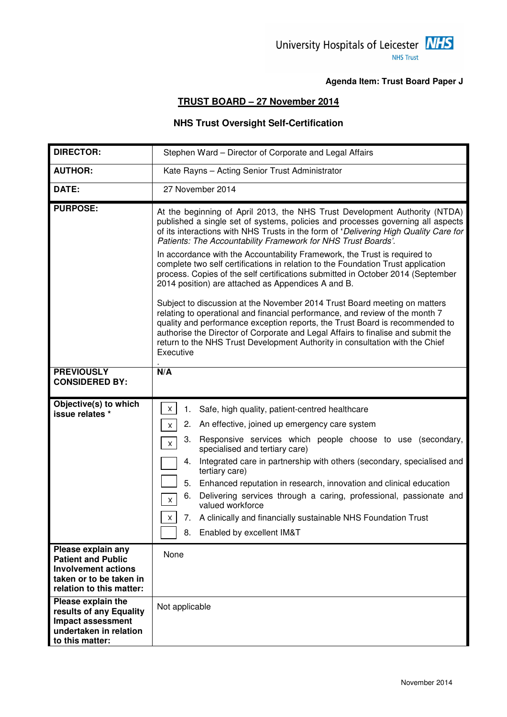### University Hospitals of Leicester MHS **NHS Trust**

#### **Agenda Item: Trust Board Paper J**

### **TRUST BOARD – 27 November 2014**

### **NHS Trust Oversight Self-Certification**

| <b>DIRECTOR:</b>                                                                                                                     | Stephen Ward - Director of Corporate and Legal Affairs                                                                                                                                                                                                                                                                                                                                                                                                                                                                                                                                                                                                                                                                                                                                                                                                                                                                                                                                                                                                         |  |  |
|--------------------------------------------------------------------------------------------------------------------------------------|----------------------------------------------------------------------------------------------------------------------------------------------------------------------------------------------------------------------------------------------------------------------------------------------------------------------------------------------------------------------------------------------------------------------------------------------------------------------------------------------------------------------------------------------------------------------------------------------------------------------------------------------------------------------------------------------------------------------------------------------------------------------------------------------------------------------------------------------------------------------------------------------------------------------------------------------------------------------------------------------------------------------------------------------------------------|--|--|
| <b>AUTHOR:</b>                                                                                                                       | Kate Rayns - Acting Senior Trust Administrator                                                                                                                                                                                                                                                                                                                                                                                                                                                                                                                                                                                                                                                                                                                                                                                                                                                                                                                                                                                                                 |  |  |
| DATE:                                                                                                                                | 27 November 2014                                                                                                                                                                                                                                                                                                                                                                                                                                                                                                                                                                                                                                                                                                                                                                                                                                                                                                                                                                                                                                               |  |  |
| <b>PURPOSE:</b>                                                                                                                      | At the beginning of April 2013, the NHS Trust Development Authority (NTDA)<br>published a single set of systems, policies and processes governing all aspects<br>of its interactions with NHS Trusts in the form of 'Delivering High Quality Care for<br>Patients: The Accountability Framework for NHS Trust Boards'.<br>In accordance with the Accountability Framework, the Trust is required to<br>complete two self certifications in relation to the Foundation Trust application<br>process. Copies of the self certifications submitted in October 2014 (September<br>2014 position) are attached as Appendices A and B.<br>Subject to discussion at the November 2014 Trust Board meeting on matters<br>relating to operational and financial performance, and review of the month 7<br>quality and performance exception reports, the Trust Board is recommended to<br>authorise the Director of Corporate and Legal Affairs to finalise and submit the<br>return to the NHS Trust Development Authority in consultation with the Chief<br>Executive |  |  |
| <b>PREVIOUSLY</b><br><b>CONSIDERED BY:</b>                                                                                           | N/A                                                                                                                                                                                                                                                                                                                                                                                                                                                                                                                                                                                                                                                                                                                                                                                                                                                                                                                                                                                                                                                            |  |  |
|                                                                                                                                      |                                                                                                                                                                                                                                                                                                                                                                                                                                                                                                                                                                                                                                                                                                                                                                                                                                                                                                                                                                                                                                                                |  |  |
| Objective(s) to which<br>issue relates *                                                                                             | $\mathsf{X}^-$<br>Safe, high quality, patient-centred healthcare<br>1.<br>2. An effective, joined up emergency care system<br><b>X</b><br>3. Responsive services which people choose to use (secondary,<br>$\mathsf X$<br>specialised and tertiary care)<br>Integrated care in partnership with others (secondary, specialised and<br>4.<br>tertiary care)<br>5.<br>Enhanced reputation in research, innovation and clinical education<br>Delivering services through a caring, professional, passionate and<br>6.<br>$\mathsf X$<br>valued workforce<br>7. A clinically and financially sustainable NHS Foundation Trust<br>$\times$<br>Enabled by excellent IM&T<br>8.                                                                                                                                                                                                                                                                                                                                                                                       |  |  |
| Please explain any<br><b>Patient and Public</b><br><b>Involvement actions</b><br>taken or to be taken in<br>relation to this matter: | None                                                                                                                                                                                                                                                                                                                                                                                                                                                                                                                                                                                                                                                                                                                                                                                                                                                                                                                                                                                                                                                           |  |  |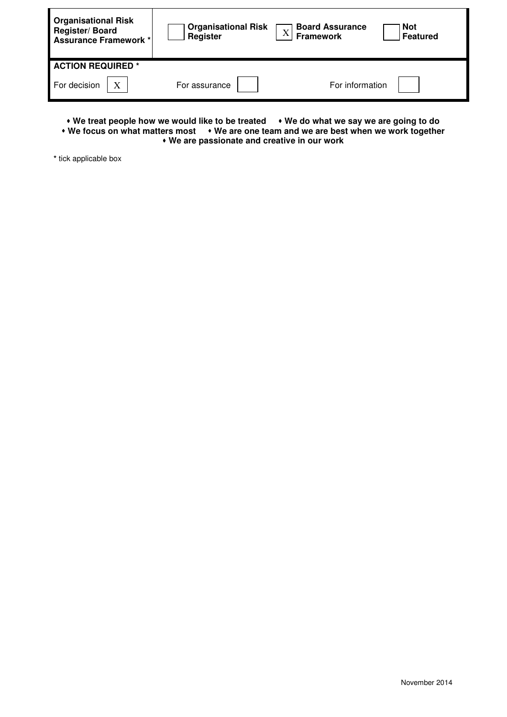| <b>Organisational Risk</b><br>Register/Board<br>Assurance Framework* | <b>Organisational Risk<br/>Register</b> | <b>Board Assurance</b><br><b>Not</b><br>$\bf X$<br><b>Framework</b> | <b>Featured</b> |
|----------------------------------------------------------------------|-----------------------------------------|---------------------------------------------------------------------|-----------------|
| <b>ACTION REQUIRED *</b>                                             |                                         |                                                                     |                 |
| For decision                                                         | For assurance                           | For information                                                     |                 |

• We treat people how we would like to be treated • We do what we say we are going to do **• We focus on what matters most • We are one team and we are best when we work together We are passionate and creative in our work** 

**\*** tick applicable box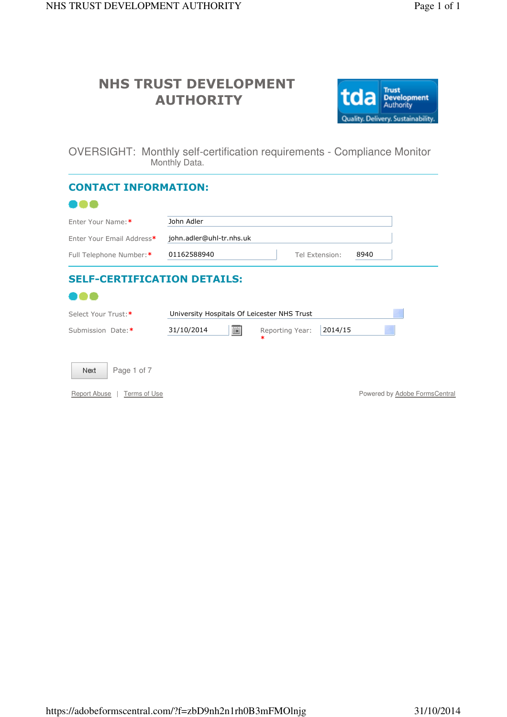

OVERSIGHT: Monthly self-certification requirements - Compliance Monitor Monthly Data.

| <b>CONTACT INFORMATION:</b>        |                                             |                            |                               |
|------------------------------------|---------------------------------------------|----------------------------|-------------------------------|
|                                    |                                             |                            |                               |
| Enter Your Name:*                  | John Adler                                  |                            |                               |
| Enter Your Email Address*          | john.adler@uhl-tr.nhs.uk                    |                            |                               |
| Full Telephone Number:*            | 01162588940                                 | Tel Extension:             | 8940                          |
| <b>SELF-CERTIFICATION DETAILS:</b> |                                             |                            |                               |
| Select Your Trust:*                | University Hospitals Of Leicester NHS Trust |                            |                               |
| Submission Date:*                  | 圓<br>31/10/2014                             | 2014/15<br>Reporting Year: |                               |
| Page 1 of 7<br>Next                |                                             |                            |                               |
| Report Abuse<br>Terms of Use       |                                             |                            | Powered by Adobe FormsCentral |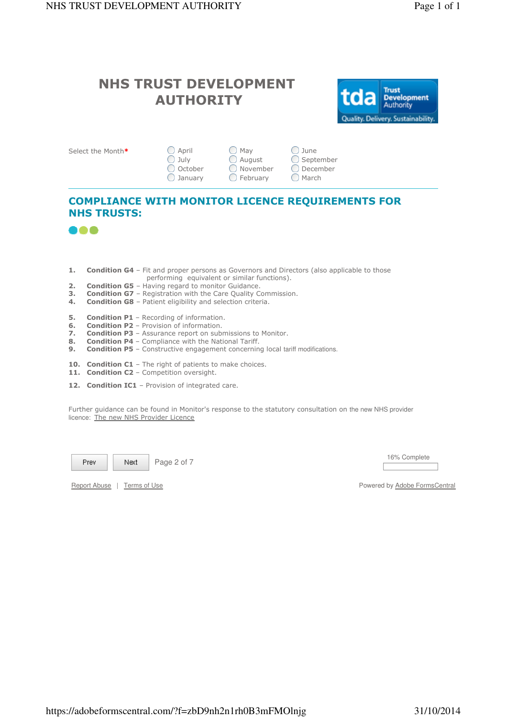

| Select the Month* | ◯ April            | ( ) May     | () June              |
|-------------------|--------------------|-------------|----------------------|
|                   | $\bigcirc$ July    | ◯ August    | $\bigcirc$ September |
|                   | ◯ October          | () November | ○ December           |
|                   | $\bigcirc$ January | () February | ( ) March            |

### COMPLIANCE WITH MONITOR LICENCE REQUIREMENTS FOR NHS TRUSTS:



- 1. Condition G4 Fit and proper persons as Governors and Directors (also applicable to those performing equivalent or similar functions).<br>2. Condition G5 - Having regard to monitor Guidance.
- Condition G5 Having regard to monitor Guidance.
- 3. Condition G7 Registration with the Care Quality Commission.<br>4. Condition G8 Patient eligibility and selection criteria.
- Condition G8 Patient eligibility and selection criteria.
- **5.** Condition P1 Recording of information.
- **6.** Condition P2 Provision of information.
- 7. Condition P3 Assurance report on submissions to Monitor.<br>8. Condition P4 Compliance with the National Tariff.
- 8. **Condition P4** Compliance with the National Tariff.<br>**9. Condition P5** Constructive engagement concernin
- **Condition P5** Constructive engagement concerning local tariff modifications.
- 10. Condition C1 The right of patients to make choices.
- 11. Condition C2 Competition oversight.
- 12. Condition IC1 Provision of integrated care.

Further guidance can be found in Monitor's response to the statutory consultation on the new NHS provider licence: The new NHS Provider Licence

Prev Next

Page 2 of 7 16% Complete

Report Abuse | Terms of Use Powered by Adobe FormsCentral by Adobe FormsCentral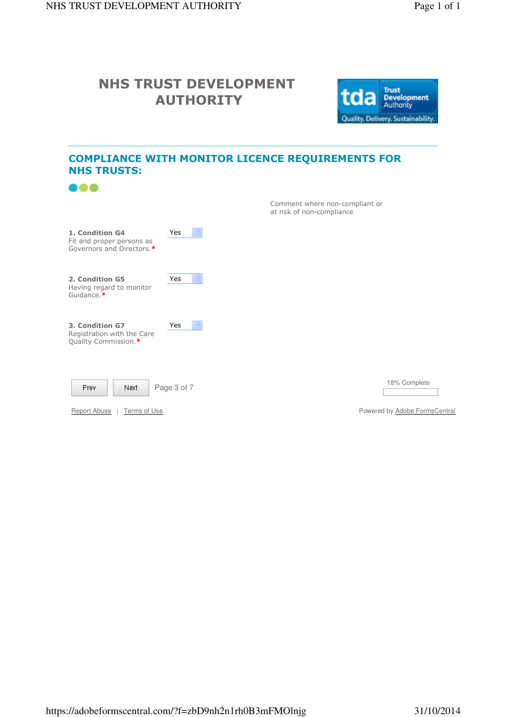

### COMPLIANCE WITH MONITOR LICENCE REQUIREMENTS FOR NHS TRUSTS:

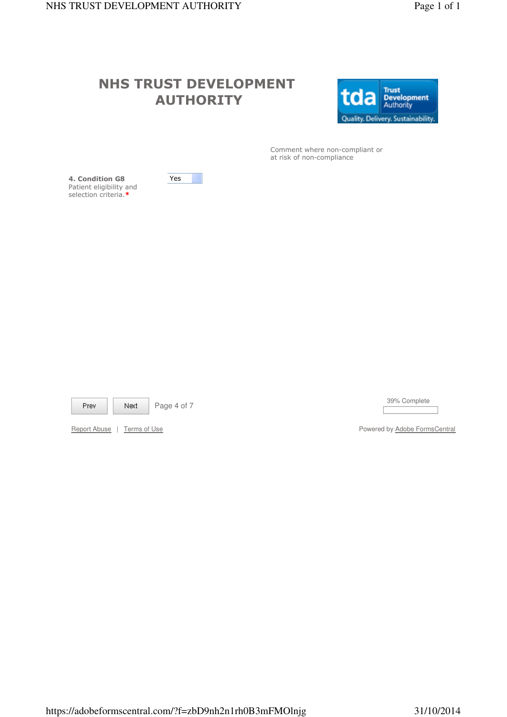

 Comment where non-compliant or at risk of non-compliance

4. Condition G8 Patient eligibility and selection criteria.\*





Page 4 of 7 39% Complete

Report Abuse | Terms of Use Powered by Adobe FormsCentral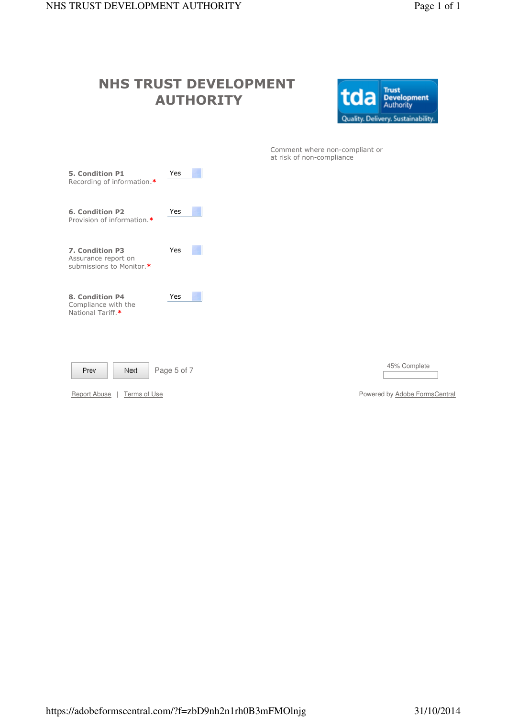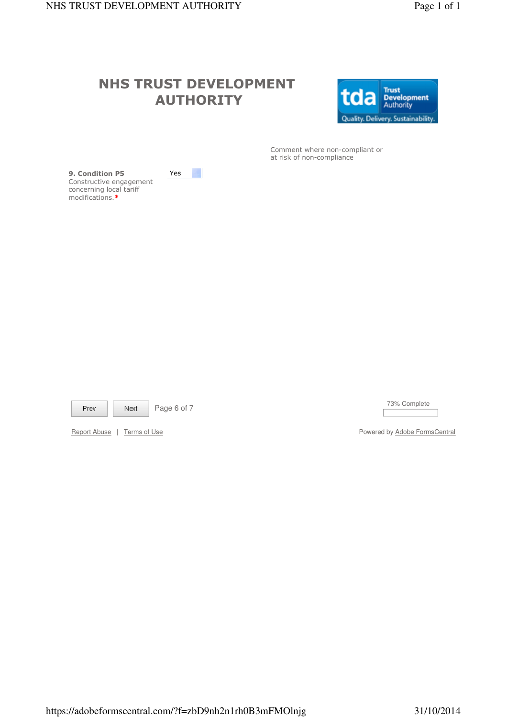Ħ.

Yes



 Comment where non-compliant or at risk of non-compliance

9. Condition P5 Constructive engagement concerning local tariff modifications.\*

Prev

Next

Page 6 of 7 73% Complete

Report Abuse | Terms of Use Powered by Adobe FormsCentral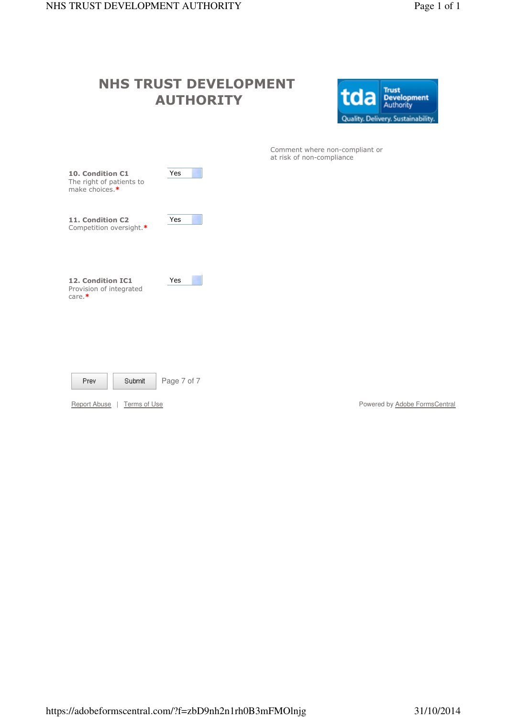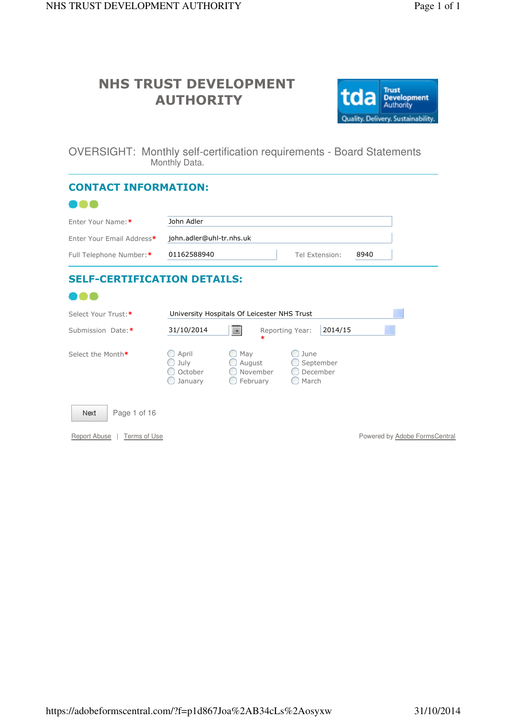

OVERSIGHT: Monthly self-certification requirements - Board Statements Monthly Data.

| <b>CONTACT INFORMATION:</b>         |                                                           |                                                  |                           |                                        |         |      |                               |
|-------------------------------------|-----------------------------------------------------------|--------------------------------------------------|---------------------------|----------------------------------------|---------|------|-------------------------------|
|                                     |                                                           |                                                  |                           |                                        |         |      |                               |
| Enter Your Name:*                   | John Adler                                                |                                                  |                           |                                        |         |      |                               |
| Enter Your Email Address*           | john.adler@uhl-tr.nhs.uk                                  |                                                  |                           |                                        |         |      |                               |
| Full Telephone Number:*             | 01162588940                                               |                                                  |                           | Tel Extension:                         |         | 8940 |                               |
| <b>SELF-CERTIFICATION DETAILS:</b>  |                                                           |                                                  |                           |                                        |         |      |                               |
|                                     |                                                           |                                                  |                           |                                        |         |      |                               |
| Select Your Trust:*                 | University Hospitals Of Leicester NHS Trust               |                                                  |                           |                                        |         |      |                               |
| Submission Date:*                   | 31/10/2014                                                | Ħ                                                | Reporting Year:<br>$\ast$ |                                        | 2014/15 |      |                               |
| Select the Month*                   | $\bigcirc$ April<br>$\bigcirc$ July<br>October<br>January | $\bigcirc$ May<br>August<br>November<br>February |                           | June<br>September<br>December<br>March |         |      |                               |
| Page 1 of 16<br>Next                |                                                           |                                                  |                           |                                        |         |      |                               |
| <b>Report Abuse</b><br>Terms of Use |                                                           |                                                  |                           |                                        |         |      | Powered by Adobe FormsCentral |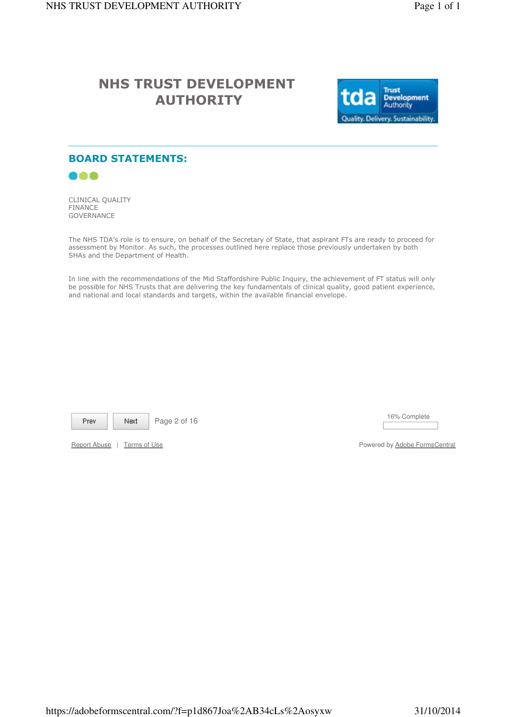

### BOARD STATEMENTS:



CLINICAL QUALITY FINANCE **GOVERNANCE** 

The NHS TDA's role is to ensure, on behalf of the Secretary of State, that aspirant FTs are ready to proceed for assessment by Monitor. As such, the processes outlined here replace those previously undertaken by both SHAs and the Department of Health.

In line with the recommendations of the Mid Staffordshire Public Inquiry, the achievement of FT status will only be possible for NHS Trusts that are delivering the key fundamentals of clinical quality, good patient experience, and national and local standards and targets, within the available financial envelope.

Prev

Next

Page 2 of 16 16% Complete

Report Abuse | Terms of Use Powered by Adobe FormsCentral by Adobe FormsCentral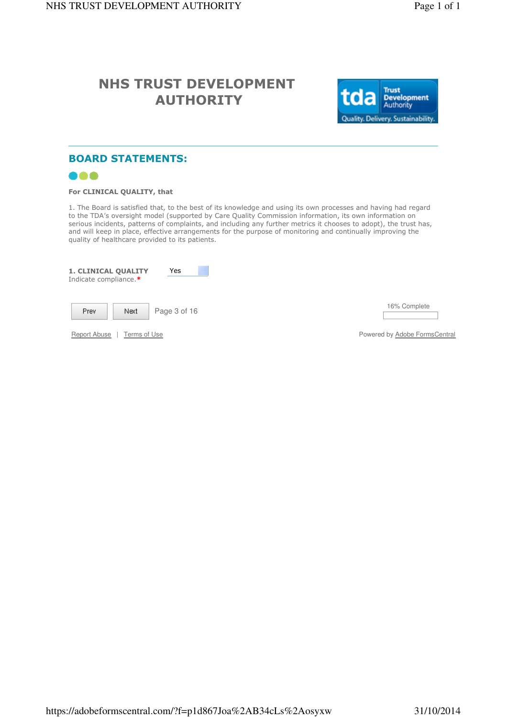

### BOARD STATEMENTS:



#### For CLINICAL QUALITY, that

1. The Board is satisfied that, to the best of its knowledge and using its own processes and having had regard to the TDA's oversight model (supported by Care Quality Commission information, its own information on serious incidents, patterns of complaints, and including any further metrics it chooses to adopt), the trust has, and will keep in place, effective arrangements for the purpose of monitoring and continually improving the quality of healthcare provided to its patients.

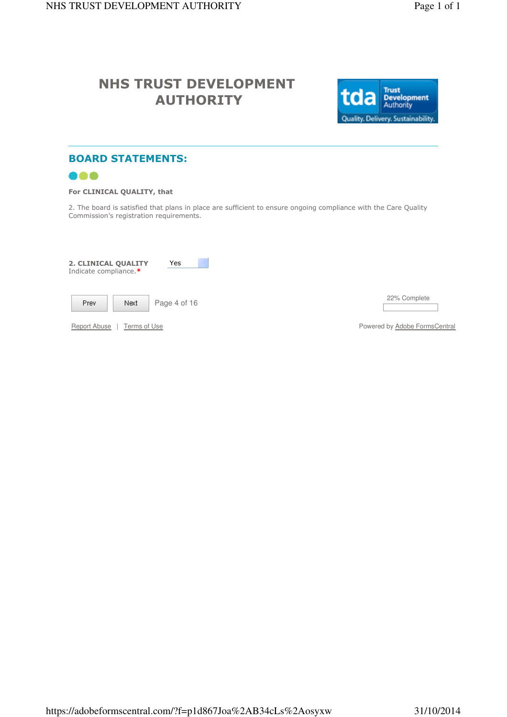

## BOARD STATEMENTS:



### For CLINICAL QUALITY, that

2. The board is satisfied that plans in place are sufficient to ensure ongoing compliance with the Care Quality Commission's registration requirements.

| Yes<br>2. CLINICAL QUALITY<br>Indicate compliance.* |                               |
|-----------------------------------------------------|-------------------------------|
| Page 4 of 16<br>Prev.<br>Next                       | 22% Complete                  |
| Report Abuse<br>Terms of Use                        | Powered by Adobe FormsCentral |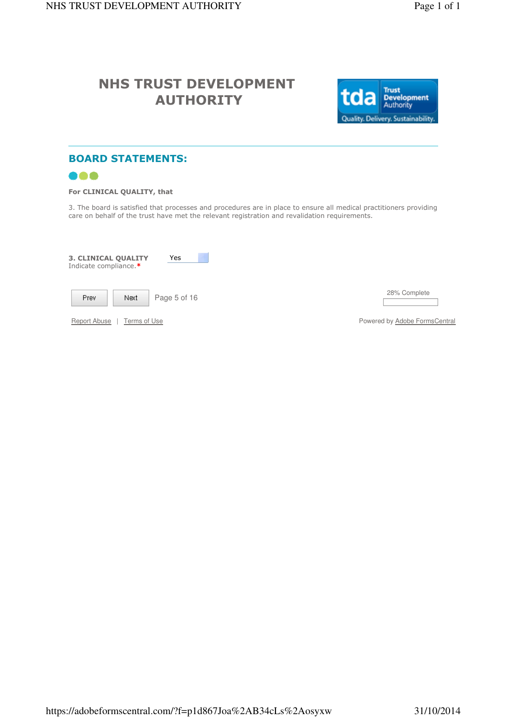

### BOARD STATEMENTS:



#### For CLINICAL QUALITY, that

3. The board is satisfied that processes and procedures are in place to ensure all medical practitioners providing care on behalf of the trust have met the relevant registration and revalidation requirements.

| <b>3. CLINICAL QUALITY</b><br>Yes<br>Indicate compliance.* |                               |
|------------------------------------------------------------|-------------------------------|
| Page 5 of 16<br>Next<br><b>Prev</b>                        | 28% Complete                  |
| Report Abuse<br>Terms of Use                               | Powered by Adobe FormsCentral |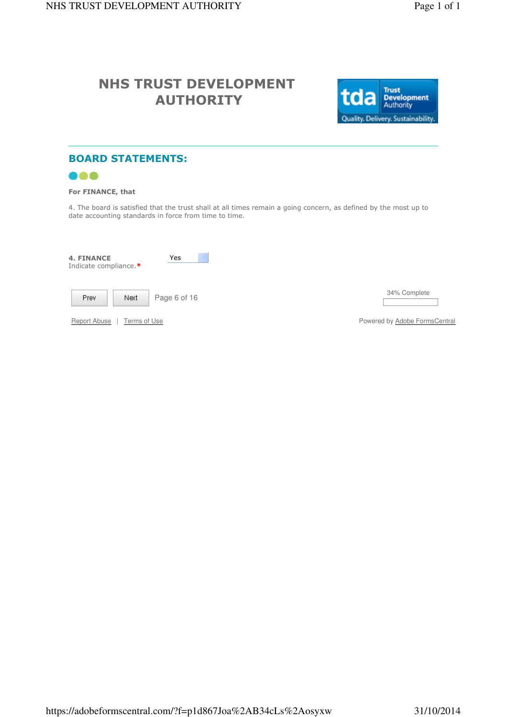

## BOARD STATEMENTS:



#### For FINANCE, that

4. The board is satisfied that the trust shall at all times remain a going concern, as defined by the most up to date accounting standards in force from time to time.

| <b>4. FINANCE</b><br>Yes<br>Indicate compliance.* |                               |
|---------------------------------------------------|-------------------------------|
| Page 6 of 16<br>Next<br>Prev.                     | 34% Complete                  |
| Report Abuse<br>Terms of Use                      | Powered by Adobe FormsCentral |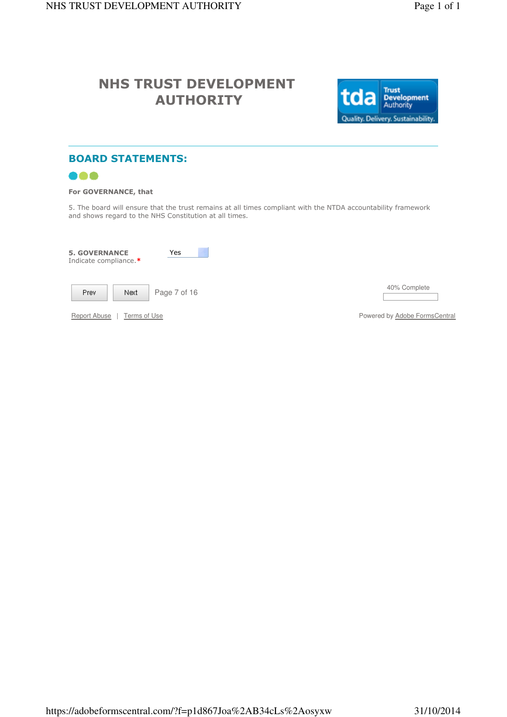

## BOARD STATEMENTS:



### For GOVERNANCE, that

5. The board will ensure that the trust remains at all times compliant with the NTDA accountability framework and shows regard to the NHS Constitution at all times.

| <b>5. GOVERNANCE</b><br>Indicate compliance.* | Yes          |                               |
|-----------------------------------------------|--------------|-------------------------------|
| Prev<br>Next                                  | Page 7 of 16 | 40% Complete                  |
| Report Abuse<br>Terms of Use                  |              | Powered by Adobe FormsCentral |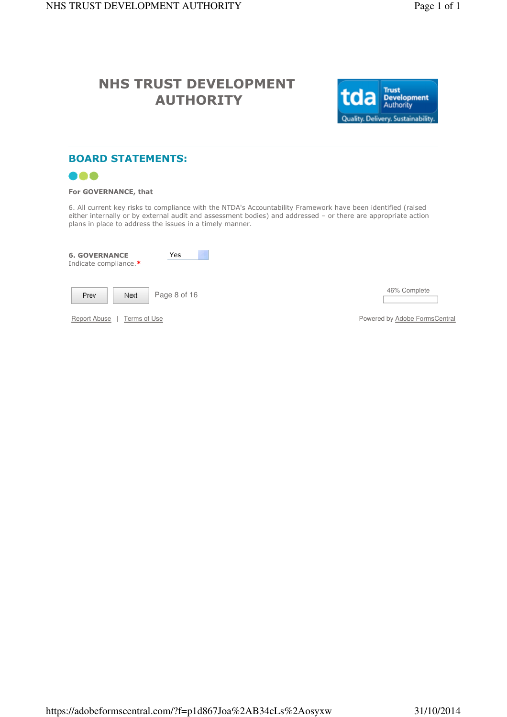

## BOARD STATEMENTS:

![](_page_16_Picture_5.jpeg)

#### For GOVERNANCE, that

6. All current key risks to compliance with the NTDA's Accountability Framework have been identified (raised either internally or by external audit and assessment bodies) and addressed – or there are appropriate action plans in place to address the issues in a timely manner.

| <b>6. GOVERNANCE</b><br>Indicate compliance.* | Yes          |                               |
|-----------------------------------------------|--------------|-------------------------------|
| Prev.<br>Next                                 | Page 8 of 16 | 46% Complete                  |
| <b>Report Abuse</b><br>Terms of Use           |              | Powered by Adobe FormsCentral |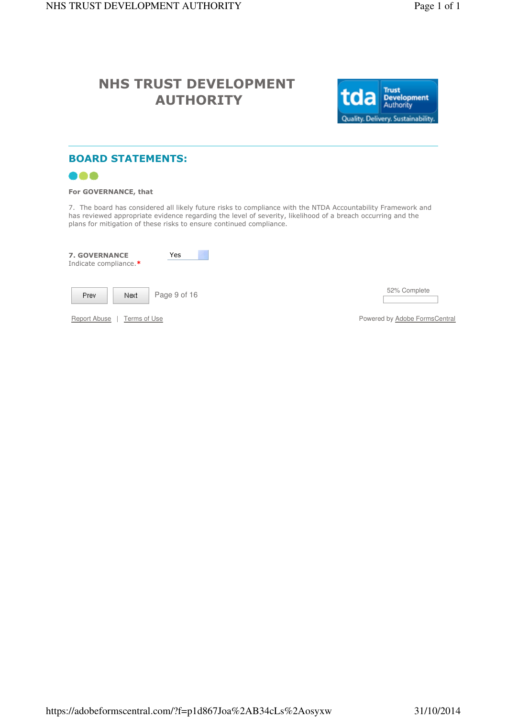![](_page_17_Picture_3.jpeg)

### BOARD STATEMENTS:

![](_page_17_Picture_5.jpeg)

#### For GOVERNANCE, that

7. The board has considered all likely future risks to compliance with the NTDA Accountability Framework and has reviewed appropriate evidence regarding the level of severity, likelihood of a breach occurring and the plans for mitigation of these risks to ensure continued compliance.

| <b>7. GOVERNANCE</b><br>Indicate compliance.* | Yes          |                               |
|-----------------------------------------------|--------------|-------------------------------|
| Prev.<br>Next                                 | Page 9 of 16 | 52% Complete                  |
| Report Abuse<br>Terms of Use                  |              | Powered by Adobe FormsCentral |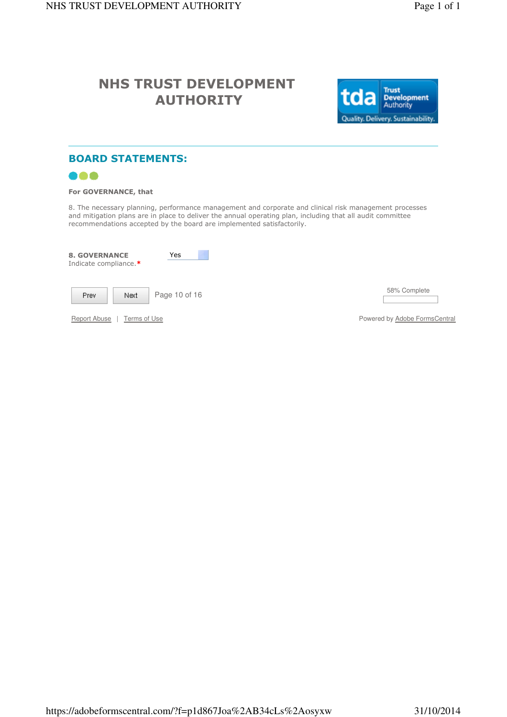![](_page_18_Picture_3.jpeg)

### BOARD STATEMENTS:

![](_page_18_Picture_5.jpeg)

#### For GOVERNANCE, that

8. The necessary planning, performance management and corporate and clinical risk management processes and mitigation plans are in place to deliver the annual operating plan, including that all audit committee recommendations accepted by the board are implemented satisfactorily.

| <b>8. GOVERNANCE</b><br>Indicate compliance.* | Yes           |                               |
|-----------------------------------------------|---------------|-------------------------------|
| Prev.<br>Next                                 | Page 10 of 16 | 58% Complete                  |
| Report Abuse<br>Terms of Use                  |               | Powered by Adobe FormsCentral |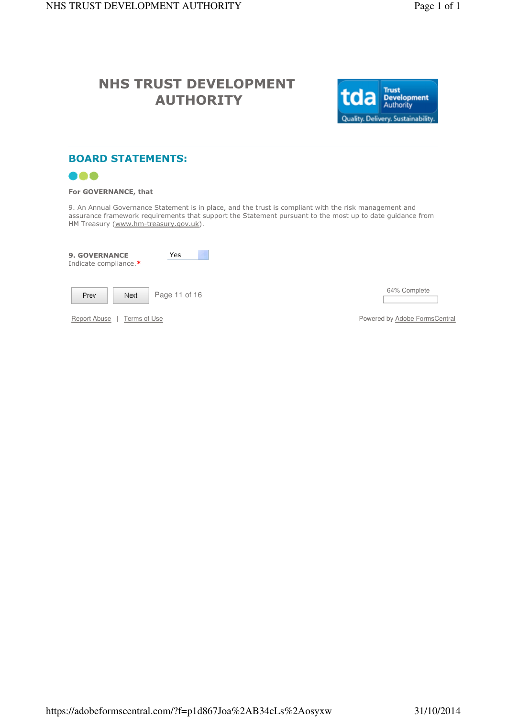![](_page_19_Picture_3.jpeg)

## BOARD STATEMENTS:

![](_page_19_Picture_5.jpeg)

#### For GOVERNANCE, that

9. An Annual Governance Statement is in place, and the trust is compliant with the risk management and assurance framework requirements that support the Statement pursuant to the most up to date guidance from HM Treasury (www.hm-treasury.gov.uk).

| <b>9. GOVERNANCE</b><br>Indicate compliance.* | Yes           |                               |
|-----------------------------------------------|---------------|-------------------------------|
| Prev.<br>Next                                 | Page 11 of 16 | 64% Complete                  |
| Report Abuse<br>Terms of Use                  |               | Powered by Adobe FormsCentral |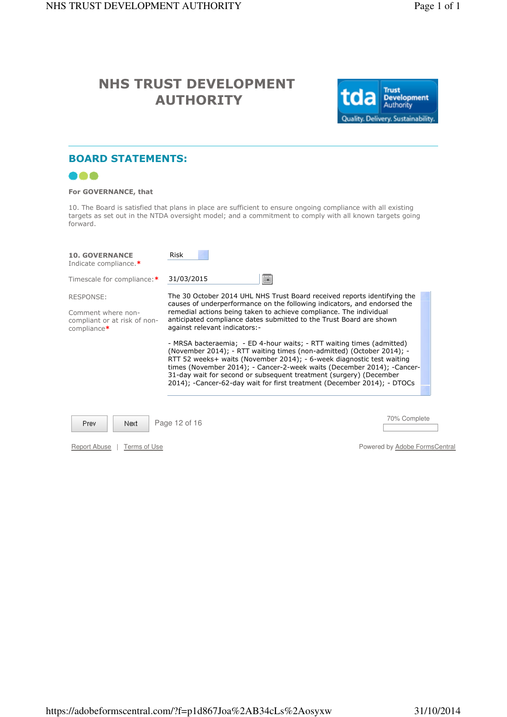![](_page_20_Picture_3.jpeg)

### BOARD STATEMENTS:

![](_page_20_Picture_5.jpeg)

#### For GOVERNANCE, that

10. The Board is satisfied that plans in place are sufficient to ensure ongoing compliance with all existing targets as set out in the NTDA oversight model; and a commitment to comply with all known targets going forward.

| <b>10. GOVERNANCE</b><br>Indicate compliance.*                                                      | Risk                                                                                                                                                                                                                                                                                                                                                                                                                                                                                                                                                                                                                                                                                                                                                                                     |                               |
|-----------------------------------------------------------------------------------------------------|------------------------------------------------------------------------------------------------------------------------------------------------------------------------------------------------------------------------------------------------------------------------------------------------------------------------------------------------------------------------------------------------------------------------------------------------------------------------------------------------------------------------------------------------------------------------------------------------------------------------------------------------------------------------------------------------------------------------------------------------------------------------------------------|-------------------------------|
| Timescale for compliance:*                                                                          | Ħ<br>31/03/2015                                                                                                                                                                                                                                                                                                                                                                                                                                                                                                                                                                                                                                                                                                                                                                          |                               |
| <b>RESPONSE:</b><br>Comment where non-<br>compliant or at risk of non-<br>$compliance$ <sup>*</sup> | The 30 October 2014 UHL NHS Trust Board received reports identifying the<br>causes of underperformance on the following indicators, and endorsed the<br>remedial actions being taken to achieve compliance. The individual<br>anticipated compliance dates submitted to the Trust Board are shown<br>against relevant indicators:-<br>- MRSA bacteraemia; - ED 4-hour waits; - RTT waiting times (admitted)<br>(November 2014); - RTT waiting times (non-admitted) (October 2014); -<br>RTT 52 weeks+ waits (November 2014); - 6-week diagnostic test waiting<br>times (November 2014); - Cancer-2-week waits (December 2014); -Cancer-<br>31-day wait for second or subsequent treatment (surgery) (December<br>2014); -Cancer-62-day wait for first treatment (December 2014); - DTOCs |                               |
| Page 12 of 16<br><b>Prev</b><br>Next                                                                |                                                                                                                                                                                                                                                                                                                                                                                                                                                                                                                                                                                                                                                                                                                                                                                          | 70% Complete                  |
| <b>Report Abuse</b><br>Terms of Use                                                                 |                                                                                                                                                                                                                                                                                                                                                                                                                                                                                                                                                                                                                                                                                                                                                                                          | Powered by Adobe FormsCentral |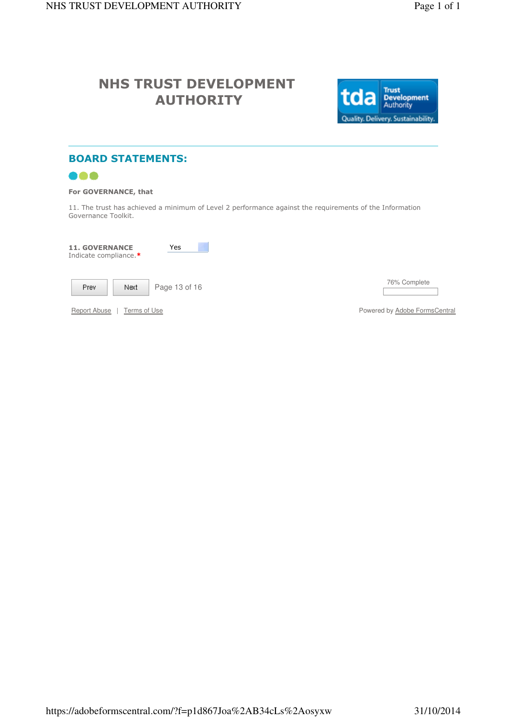![](_page_21_Picture_3.jpeg)

## BOARD STATEMENTS:

![](_page_21_Picture_5.jpeg)

### For GOVERNANCE, that

11. The trust has achieved a minimum of Level 2 performance against the requirements of the Information Governance Toolkit.

| <b>11. GOVERNANCE</b><br>Indicate compliance.* | Yes           |                               |
|------------------------------------------------|---------------|-------------------------------|
| Prev.<br>Next                                  | Page 13 of 16 | 76% Complete                  |
| Report Abuse<br>Terms of Use                   |               | Powered by Adobe FormsCentral |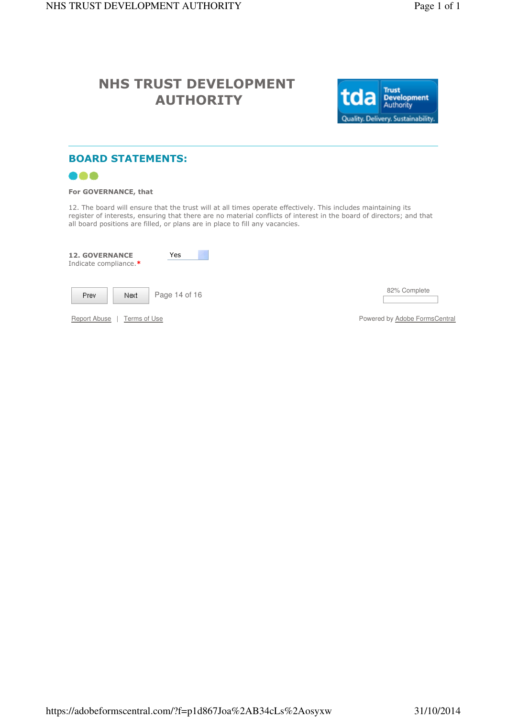![](_page_22_Picture_3.jpeg)

### BOARD STATEMENTS:

![](_page_22_Picture_5.jpeg)

#### For GOVERNANCE, that

12. The board will ensure that the trust will at all times operate effectively. This includes maintaining its register of interests, ensuring that there are no material conflicts of interest in the board of directors; and that all board positions are filled, or plans are in place to fill any vacancies.

| <b>12. GOVERNANCE</b><br>Indicate compliance.* | Yes           |                               |
|------------------------------------------------|---------------|-------------------------------|
| Prev<br>Next                                   | Page 14 of 16 | 82% Complete                  |
| Report Abuse<br>Terms of Use                   |               | Powered by Adobe FormsCentral |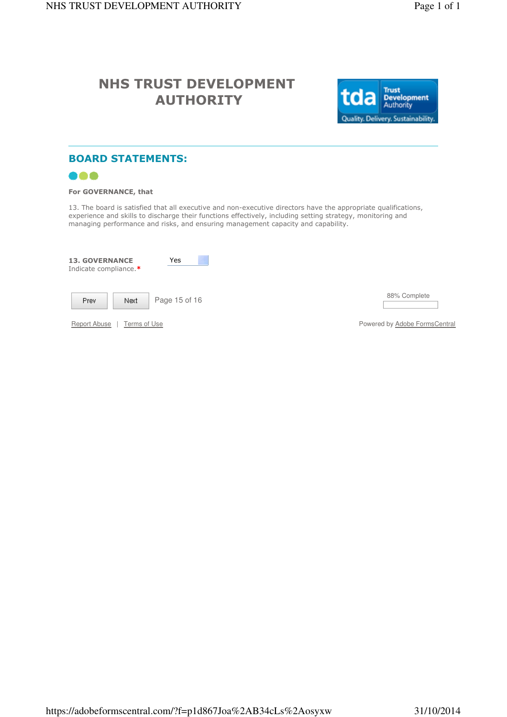![](_page_23_Picture_3.jpeg)

### BOARD STATEMENTS:

![](_page_23_Picture_5.jpeg)

#### For GOVERNANCE, that

13. The board is satisfied that all executive and non-executive directors have the appropriate qualifications, experience and skills to discharge their functions effectively, including setting strategy, monitoring and managing performance and risks, and ensuring management capacity and capability.

| <b>13. GOVERNANCE</b><br>Indicate compliance.* | Yes           |                              |
|------------------------------------------------|---------------|------------------------------|
| Prev<br>Next                                   | Page 15 of 16 | 88% Complete                 |
| Report Abuse<br>Terms of Use                   |               | Powered by <b>Adobe Form</b> |

Powered by **Adobe FormsCentral**